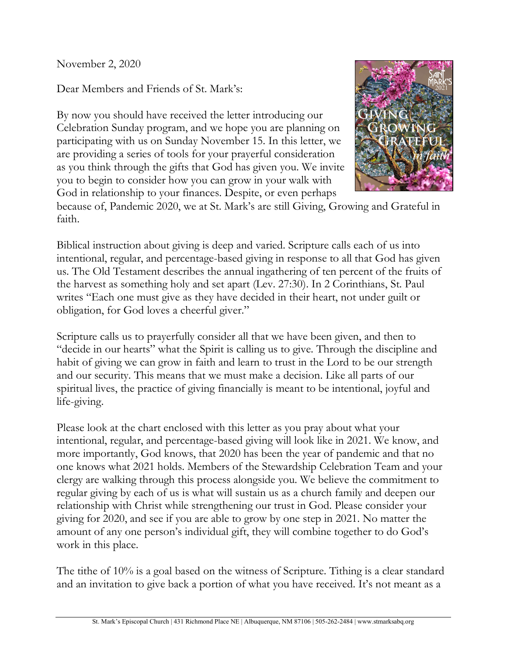November 2, 2020

Dear Members and Friends of St. Mark's:

By now you should have received the letter introducing our Celebration Sunday program, and we hope you are planning on participating with us on Sunday November 15. In this letter, we are providing a series of tools for your prayerful consideration as you think through the gifts that God has given you. We invite you to begin to consider how you can grow in your walk with God in relationship to your finances. Despite, or even perhaps



because of, Pandemic 2020, we at St. Mark's are still Giving, Growing and Grateful in faith.

Biblical instruction about giving is deep and varied. Scripture calls each of us into intentional, regular, and percentage-based giving in response to all that God has given us. The Old Testament describes the annual ingathering of ten percent of the fruits of the harvest as something holy and set apart (Lev. 27:30). In 2 Corinthians, St. Paul writes "Each one must give as they have decided in their heart, not under guilt or obligation, for God loves a cheerful giver."

Scripture calls us to prayerfully consider all that we have been given, and then to "decide in our hearts" what the Spirit is calling us to give. Through the discipline and habit of giving we can grow in faith and learn to trust in the Lord to be our strength and our security. This means that we must make a decision. Like all parts of our spiritual lives, the practice of giving financially is meant to be intentional, joyful and life-giving.

Please look at the chart enclosed with this letter as you pray about what your intentional, regular, and percentage-based giving will look like in 2021. We know, and more importantly, God knows, that 2020 has been the year of pandemic and that no one knows what 2021 holds. Members of the Stewardship Celebration Team and your clergy are walking through this process alongside you. We believe the commitment to regular giving by each of us is what will sustain us as a church family and deepen our relationship with Christ while strengthening our trust in God. Please consider your giving for 2020, and see if you are able to grow by one step in 2021. No matter the amount of any one person's individual gift, they will combine together to do God's work in this place.

The tithe of 10% is a goal based on the witness of Scripture. Tithing is a clear standard and an invitation to give back a portion of what you have received. It's not meant as a